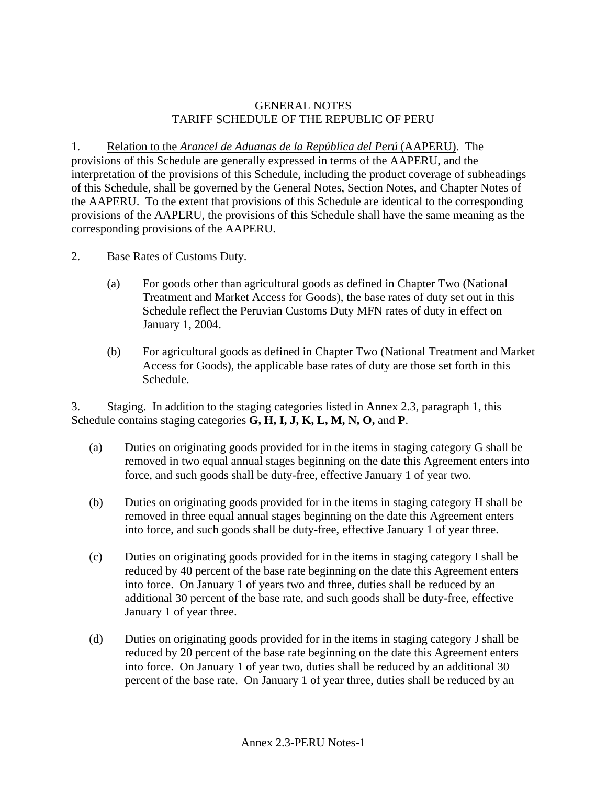## GENERAL NOTES TARIFF SCHEDULE OF THE REPUBLIC OF PERU

1. Relation to the *Arancel de Aduanas de la República del Perú* (AAPERU). The provisions of this Schedule are generally expressed in terms of the AAPERU, and the interpretation of the provisions of this Schedule, including the product coverage of subheadings of this Schedule, shall be governed by the General Notes, Section Notes, and Chapter Notes of the AAPERU. To the extent that provisions of this Schedule are identical to the corresponding provisions of the AAPERU, the provisions of this Schedule shall have the same meaning as the corresponding provisions of the AAPERU.

- 2. Base Rates of Customs Duty.
	- (a) For goods other than agricultural goods as defined in Chapter Two (National Treatment and Market Access for Goods), the base rates of duty set out in this Schedule reflect the Peruvian Customs Duty MFN rates of duty in effect on January 1, 2004.
	- (b) For agricultural goods as defined in Chapter Two (National Treatment and Market Access for Goods), the applicable base rates of duty are those set forth in this Schedule.

3. Staging. In addition to the staging categories listed in Annex 2.3, paragraph 1, this Schedule contains staging categories **G, H, I, J, K, L, M, N, O,** and **P**.

- (a) Duties on originating goods provided for in the items in staging category G shall be removed in two equal annual stages beginning on the date this Agreement enters into force, and such goods shall be duty-free, effective January 1 of year two.
- (b) Duties on originating goods provided for in the items in staging category H shall be removed in three equal annual stages beginning on the date this Agreement enters into force, and such goods shall be duty-free, effective January 1 of year three.
- (c) Duties on originating goods provided for in the items in staging category I shall be reduced by 40 percent of the base rate beginning on the date this Agreement enters into force. On January 1 of years two and three, duties shall be reduced by an additional 30 percent of the base rate, and such goods shall be duty-free, effective January 1 of year three.
- (d) Duties on originating goods provided for in the items in staging category J shall be reduced by 20 percent of the base rate beginning on the date this Agreement enters into force. On January 1 of year two, duties shall be reduced by an additional 30 percent of the base rate. On January 1 of year three, duties shall be reduced by an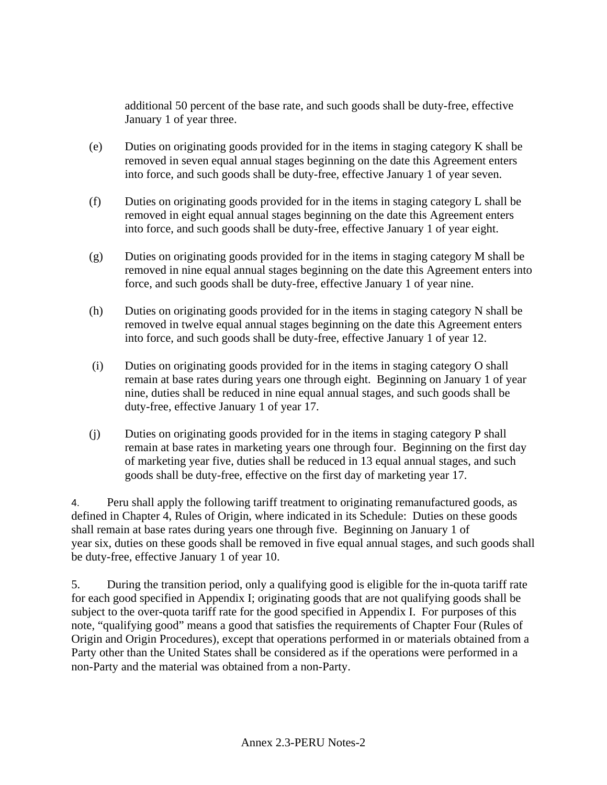additional 50 percent of the base rate, and such goods shall be duty-free, effective January 1 of year three.

- (e) Duties on originating goods provided for in the items in staging category K shall be removed in seven equal annual stages beginning on the date this Agreement enters into force, and such goods shall be duty-free, effective January 1 of year seven.
- (f) Duties on originating goods provided for in the items in staging category L shall be removed in eight equal annual stages beginning on the date this Agreement enters into force, and such goods shall be duty-free, effective January 1 of year eight.
- (g) Duties on originating goods provided for in the items in staging category M shall be removed in nine equal annual stages beginning on the date this Agreement enters into force, and such goods shall be duty-free, effective January 1 of year nine.
- (h) Duties on originating goods provided for in the items in staging category N shall be removed in twelve equal annual stages beginning on the date this Agreement enters into force, and such goods shall be duty-free, effective January 1 of year 12.
- (i) Duties on originating goods provided for in the items in staging category O shall remain at base rates during years one through eight. Beginning on January 1 of year nine, duties shall be reduced in nine equal annual stages, and such goods shall be duty-free, effective January 1 of year 17.
- (j) Duties on originating goods provided for in the items in staging category P shall remain at base rates in marketing years one through four. Beginning on the first day of marketing year five, duties shall be reduced in 13 equal annual stages, and such goods shall be duty-free, effective on the first day of marketing year 17.

4. Peru shall apply the following tariff treatment to originating remanufactured goods, as defined in Chapter 4, Rules of Origin, where indicated in its Schedule: Duties on these goods shall remain at base rates during years one through five. Beginning on January 1 of year six, duties on these goods shall be removed in five equal annual stages, and such goods shall be duty-free, effective January 1 of year 10.

5. During the transition period, only a qualifying good is eligible for the in-quota tariff rate for each good specified in Appendix I; originating goods that are not qualifying goods shall be subject to the over-quota tariff rate for the good specified in Appendix I. For purposes of this note, "qualifying good" means a good that satisfies the requirements of Chapter Four (Rules of Origin and Origin Procedures), except that operations performed in or materials obtained from a Party other than the United States shall be considered as if the operations were performed in a non-Party and the material was obtained from a non-Party.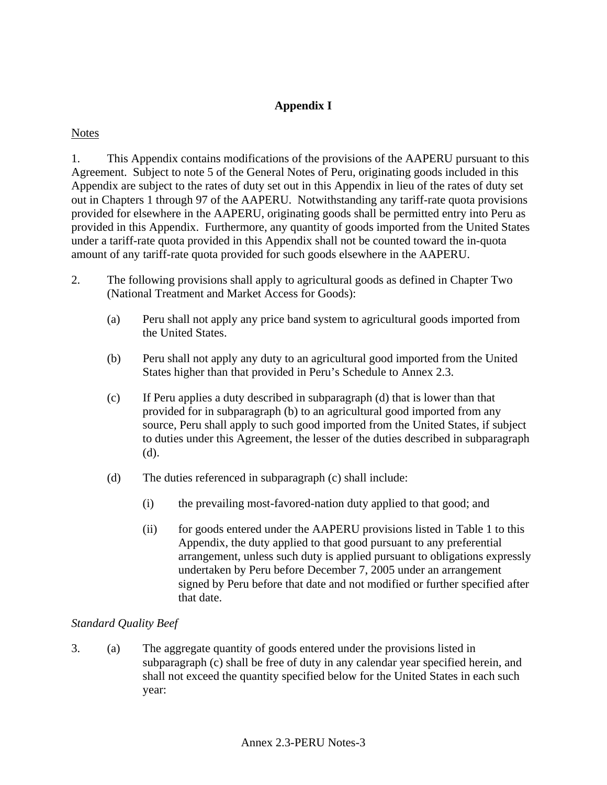## **Appendix I**

## **Notes**

1. This Appendix contains modifications of the provisions of the AAPERU pursuant to this Agreement. Subject to note 5 of the General Notes of Peru, originating goods included in this Appendix are subject to the rates of duty set out in this Appendix in lieu of the rates of duty set out in Chapters 1 through 97 of the AAPERU. Notwithstanding any tariff-rate quota provisions provided for elsewhere in the AAPERU, originating goods shall be permitted entry into Peru as provided in this Appendix. Furthermore, any quantity of goods imported from the United States under a tariff-rate quota provided in this Appendix shall not be counted toward the in-quota amount of any tariff-rate quota provided for such goods elsewhere in the AAPERU.

- 2. The following provisions shall apply to agricultural goods as defined in Chapter Two (National Treatment and Market Access for Goods):
	- (a) Peru shall not apply any price band system to agricultural goods imported from the United States.
	- (b) Peru shall not apply any duty to an agricultural good imported from the United States higher than that provided in Peru's Schedule to Annex 2.3.
	- (c) If Peru applies a duty described in subparagraph (d) that is lower than that provided for in subparagraph (b) to an agricultural good imported from any source, Peru shall apply to such good imported from the United States, if subject to duties under this Agreement, the lesser of the duties described in subparagraph (d).
	- (d) The duties referenced in subparagraph (c) shall include:
		- (i) the prevailing most-favored-nation duty applied to that good; and
		- (ii) for goods entered under the AAPERU provisions listed in Table 1 to this Appendix, the duty applied to that good pursuant to any preferential arrangement, unless such duty is applied pursuant to obligations expressly undertaken by Peru before December 7, 2005 under an arrangement signed by Peru before that date and not modified or further specified after that date.

## *Standard Quality Beef*

3. (a) The aggregate quantity of goods entered under the provisions listed in subparagraph (c) shall be free of duty in any calendar year specified herein, and shall not exceed the quantity specified below for the United States in each such year: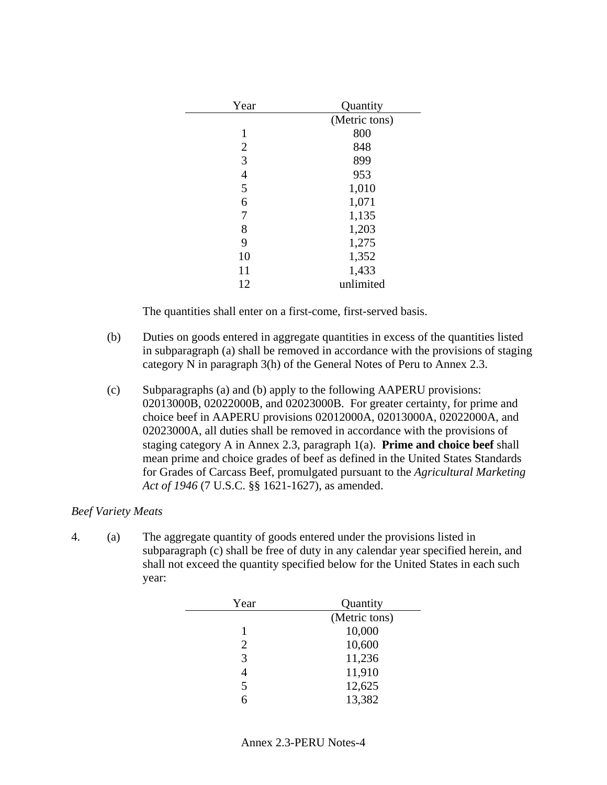| Year           | Quantity      |
|----------------|---------------|
|                | (Metric tons) |
| 1              | 800           |
| 2              | 848           |
| 3              | 899           |
| $\overline{4}$ | 953           |
| 5              | 1,010         |
| 6              | 1,071         |
| 7              | 1,135         |
| 8              | 1,203         |
| 9              | 1,275         |
| 10             | 1,352         |
| 11             | 1,433         |
| 12             | unlimited     |
|                |               |

- (b) Duties on goods entered in aggregate quantities in excess of the quantities listed in subparagraph (a) shall be removed in accordance with the provisions of staging category N in paragraph 3(h) of the General Notes of Peru to Annex 2.3.
- (c) Subparagraphs (a) and (b) apply to the following AAPERU provisions: 02013000B, 02022000B, and 02023000B. For greater certainty, for prime and choice beef in AAPERU provisions 02012000A, 02013000A, 02022000A, and 02023000A, all duties shall be removed in accordance with the provisions of staging category A in Annex 2.3, paragraph 1(a). **Prime and choice beef** shall mean prime and choice grades of beef as defined in the United States Standards for Grades of Carcass Beef, promulgated pursuant to the *Agricultural Marketing Act of 1946* (7 U.S.C. §§ 1621-1627), as amended.

#### *Beef Variety Meats*

4. (a) The aggregate quantity of goods entered under the provisions listed in subparagraph (c) shall be free of duty in any calendar year specified herein, and shall not exceed the quantity specified below for the United States in each such year:

| Year           | Quantity      |
|----------------|---------------|
|                | (Metric tons) |
|                | 10,000        |
| $\overline{2}$ | 10,600        |
| 3              | 11,236        |
| 4              | 11,910        |
| 5              | 12,625        |
| 6              | 13,382        |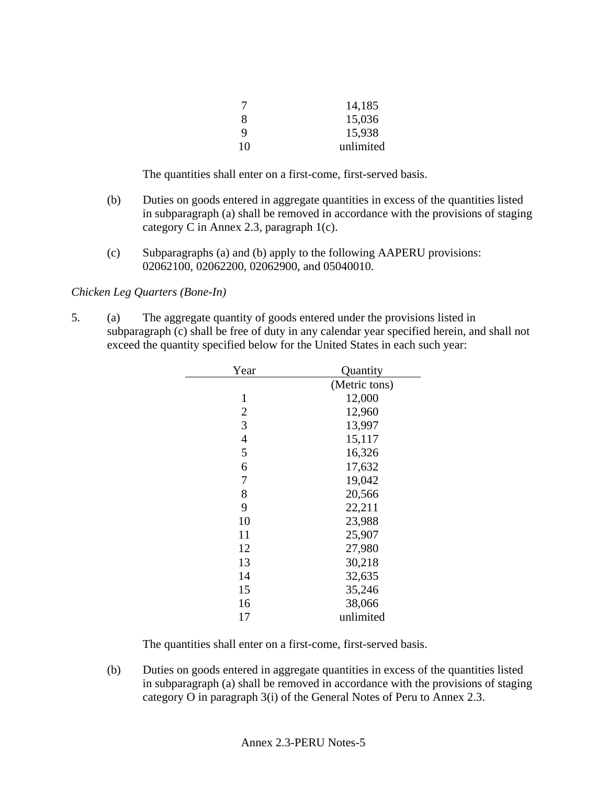| 7  | 14,185    |
|----|-----------|
| 8  | 15,036    |
| 9  | 15,938    |
| 10 | unlimited |

- (b) Duties on goods entered in aggregate quantities in excess of the quantities listed in subparagraph (a) shall be removed in accordance with the provisions of staging category C in Annex 2.3, paragraph 1(c).
- (c) Subparagraphs (a) and (b) apply to the following AAPERU provisions: 02062100, 02062200, 02062900, and 05040010.

## *Chicken Leg Quarters (Bone-In)*

5. (a) The aggregate quantity of goods entered under the provisions listed in subparagraph (c) shall be free of duty in any calendar year specified herein, and shall not exceed the quantity specified below for the United States in each such year:

| Year           | Quantity      |
|----------------|---------------|
|                | (Metric tons) |
| 1              | 12,000        |
| $\overline{2}$ | 12,960        |
| 3              | 13,997        |
| $\overline{4}$ | 15,117        |
| 5              | 16,326        |
| 6              | 17,632        |
| 7              | 19,042        |
| 8              | 20,566        |
| 9              | 22,211        |
| 10             | 23,988        |
| 11             | 25,907        |
| 12             | 27,980        |
| 13             | 30,218        |
| 14             | 32,635        |
| 15             | 35,246        |
| 16             | 38,066        |
| 17             | unlimited     |
|                |               |

The quantities shall enter on a first-come, first-served basis.

(b) Duties on goods entered in aggregate quantities in excess of the quantities listed in subparagraph (a) shall be removed in accordance with the provisions of staging category O in paragraph 3(i) of the General Notes of Peru to Annex 2.3.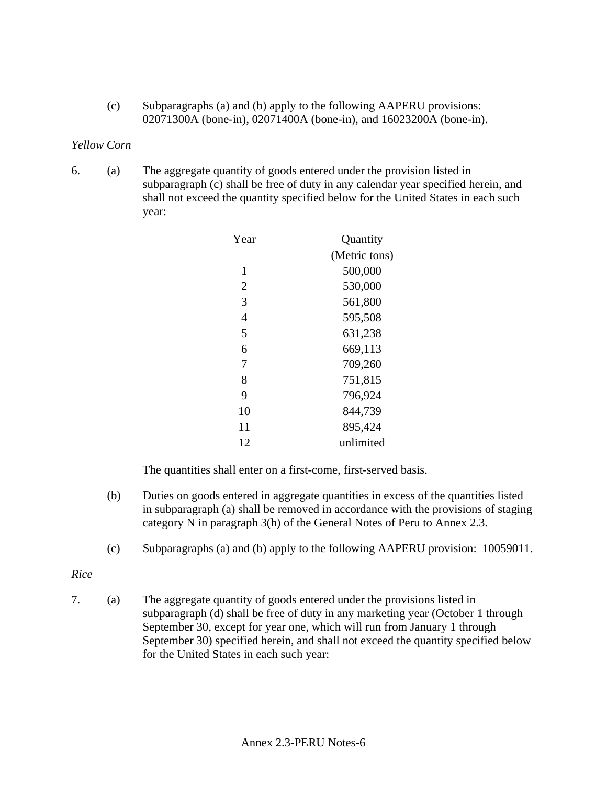(c) Subparagraphs (a) and (b) apply to the following AAPERU provisions: 02071300A (bone-in), 02071400A (bone-in), and 16023200A (bone-in).

## *Yellow Corn*

6. (a) The aggregate quantity of goods entered under the provision listed in subparagraph (c) shall be free of duty in any calendar year specified herein, and shall not exceed the quantity specified below for the United States in each such year:

| Year           | Quantity      |
|----------------|---------------|
|                | (Metric tons) |
| 1              | 500,000       |
| $\overline{2}$ | 530,000       |
| 3              | 561,800       |
| $\overline{4}$ | 595,508       |
| 5              | 631,238       |
| 6              | 669,113       |
| 7              | 709,260       |
| 8              | 751,815       |
| 9              | 796,924       |
| 10             | 844,739       |
| 11             | 895,424       |
| 12             | unlimited     |
|                |               |

The quantities shall enter on a first-come, first-served basis.

- (b) Duties on goods entered in aggregate quantities in excess of the quantities listed in subparagraph (a) shall be removed in accordance with the provisions of staging category N in paragraph 3(h) of the General Notes of Peru to Annex 2.3.
- (c) Subparagraphs (a) and (b) apply to the following AAPERU provision: 10059011.

#### *Rice*

7. (a) The aggregate quantity of goods entered under the provisions listed in subparagraph (d) shall be free of duty in any marketing year (October 1 through September 30, except for year one, which will run from January 1 through September 30) specified herein, and shall not exceed the quantity specified below for the United States in each such year: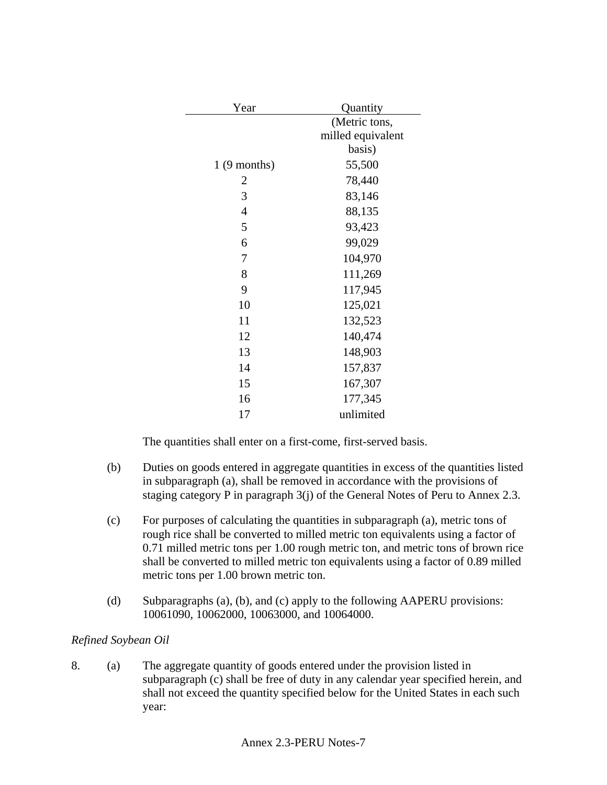| Year           | Quantity          |
|----------------|-------------------|
|                | (Metric tons,     |
|                | milled equivalent |
|                | basis)            |
| $1(9$ months)  | 55,500            |
| 2              | 78,440            |
| 3              | 83,146            |
| $\overline{4}$ | 88,135            |
| 5              | 93,423            |
| 6              | 99,029            |
| 7              | 104,970           |
| 8              | 111,269           |
| 9              | 117,945           |
| 10             | 125,021           |
| 11             | 132,523           |
| 12             | 140,474           |
| 13             | 148,903           |
| 14             | 157,837           |
| 15             | 167,307           |
| 16             | 177,345           |
| 17             | unlimited         |

- (b) Duties on goods entered in aggregate quantities in excess of the quantities listed in subparagraph (a), shall be removed in accordance with the provisions of staging category P in paragraph 3(j) of the General Notes of Peru to Annex 2.3.
- (c) For purposes of calculating the quantities in subparagraph (a), metric tons of rough rice shall be converted to milled metric ton equivalents using a factor of 0.71 milled metric tons per 1.00 rough metric ton, and metric tons of brown rice shall be converted to milled metric ton equivalents using a factor of 0.89 milled metric tons per 1.00 brown metric ton.
- (d) Subparagraphs (a), (b), and (c) apply to the following AAPERU provisions: 10061090, 10062000, 10063000, and 10064000.

## *Refined Soybean Oil*

8. (a) The aggregate quantity of goods entered under the provision listed in subparagraph (c) shall be free of duty in any calendar year specified herein, and shall not exceed the quantity specified below for the United States in each such year: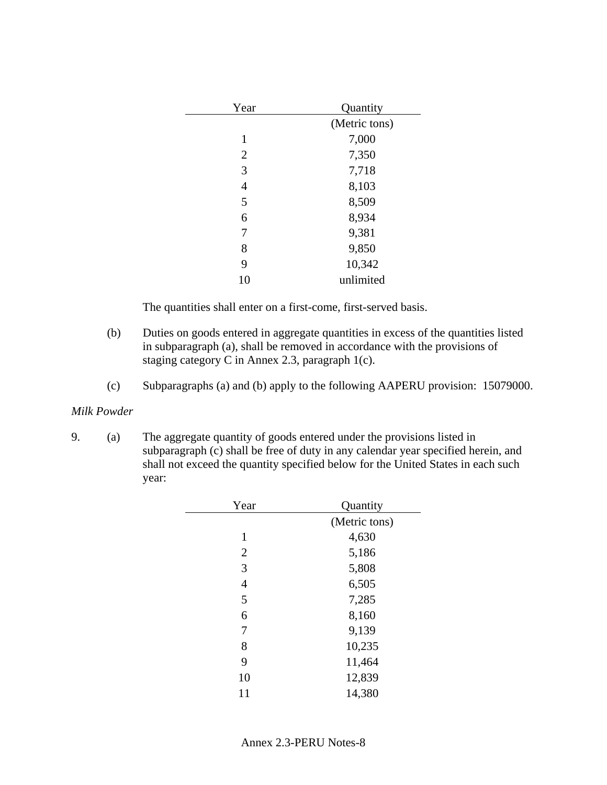| Year           | Quantity      |
|----------------|---------------|
|                | (Metric tons) |
| 1              | 7,000         |
| $\overline{2}$ | 7,350         |
| 3              | 7,718         |
| 4              | 8,103         |
| 5              | 8,509         |
| 6              | 8,934         |
| 7              | 9,381         |
| 8              | 9,850         |
| 9              | 10,342        |
| 10             | unlimited     |
|                |               |

- (b) Duties on goods entered in aggregate quantities in excess of the quantities listed in subparagraph (a), shall be removed in accordance with the provisions of staging category C in Annex 2.3, paragraph 1(c).
- (c) Subparagraphs (a) and (b) apply to the following AAPERU provision: 15079000.

#### *Milk Powder*

9. (a) The aggregate quantity of goods entered under the provisions listed in subparagraph  $\overrightarrow{c}$ ) shall be free of duty in any calendar year specified herein, and shall not exceed the quantity specified below for the United States in each such year:

| Year           | Quantity      |
|----------------|---------------|
|                | (Metric tons) |
| 1              | 4,630         |
| $\overline{2}$ | 5,186         |
| 3              | 5,808         |
| $\overline{4}$ | 6,505         |
| 5              | 7,285         |
| 6              | 8,160         |
| 7              | 9,139         |
| 8              | 10,235        |
| 9              | 11,464        |
| 10             | 12,839        |
| 11             | 14,380        |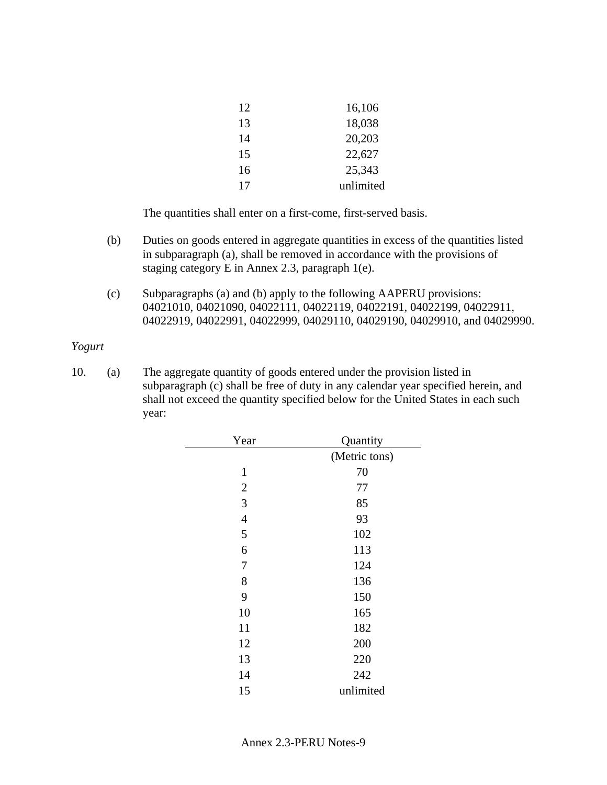| 12 | 16,106    |
|----|-----------|
| 13 | 18,038    |
| 14 | 20,203    |
| 15 | 22,627    |
| 16 | 25,343    |
| 17 | unlimited |

- (b) Duties on goods entered in aggregate quantities in excess of the quantities listed in subparagraph (a), shall be removed in accordance with the provisions of staging category E in Annex 2.3, paragraph 1(e).
- (c) Subparagraphs (a) and (b) apply to the following AAPERU provisions: 04021010, 04021090, 04022111, 04022119, 04022191, 04022199, 04022911, 04022919, 04022991, 04022999, 04029110, 04029190, 04029910, and 04029990.

#### *Yogurt*

10. (a) The aggregate quantity of goods entered under the provision listed in subparagraph (c) shall be free of duty in any calendar year specified herein, and shall not exceed the quantity specified below for the United States in each such year:

| Year           | Quantity      |
|----------------|---------------|
|                | (Metric tons) |
| 1              | 70            |
| $\mathbf{2}$   | 77            |
| 3              | 85            |
| $\overline{4}$ | 93            |
| 5              | 102           |
| 6              | 113           |
| 7              | 124           |
| 8              | 136           |
| 9              | 150           |
| 10             | 165           |
| 11             | 182           |
| 12             | 200           |
| 13             | 220           |
| 14             | 242           |
| 15             | unlimited     |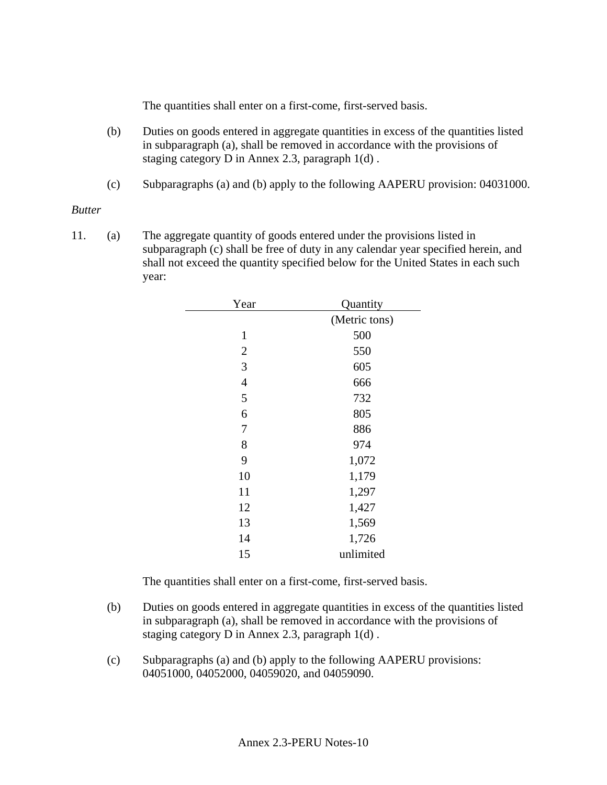- (b) Duties on goods entered in aggregate quantities in excess of the quantities listed in subparagraph (a), shall be removed in accordance with the provisions of staging category D in Annex 2.3, paragraph 1(d) .
- (c) Subparagraphs (a) and (b) apply to the following AAPERU provision: 04031000.

#### *Butter*

11. (a) The aggregate quantity of goods entered under the provisions listed in subparagraph (c) shall be free of duty in any calendar year specified herein, and shall not exceed the quantity specified below for the United States in each such year:

| Year             | Quantity      |
|------------------|---------------|
|                  | (Metric tons) |
| $\mathbf{1}$     | 500           |
| $\mathbf{2}$     | 550           |
| 3                | 605           |
| $\overline{4}$   | 666           |
| 5                | 732           |
| 6                | 805           |
| $\boldsymbol{7}$ | 886           |
| 8                | 974           |
| 9                | 1,072         |
| 10               | 1,179         |
| 11               | 1,297         |
| 12               | 1,427         |
| 13               | 1,569         |
| 14               | 1,726         |
| 15               | unlimited     |
|                  |               |

The quantities shall enter on a first-come, first-served basis.

- (b) Duties on goods entered in aggregate quantities in excess of the quantities listed in subparagraph (a), shall be removed in accordance with the provisions of staging category D in Annex 2.3, paragraph 1(d) .
- (c) Subparagraphs (a) and (b) apply to the following AAPERU provisions: 04051000, 04052000, 04059020, and 04059090.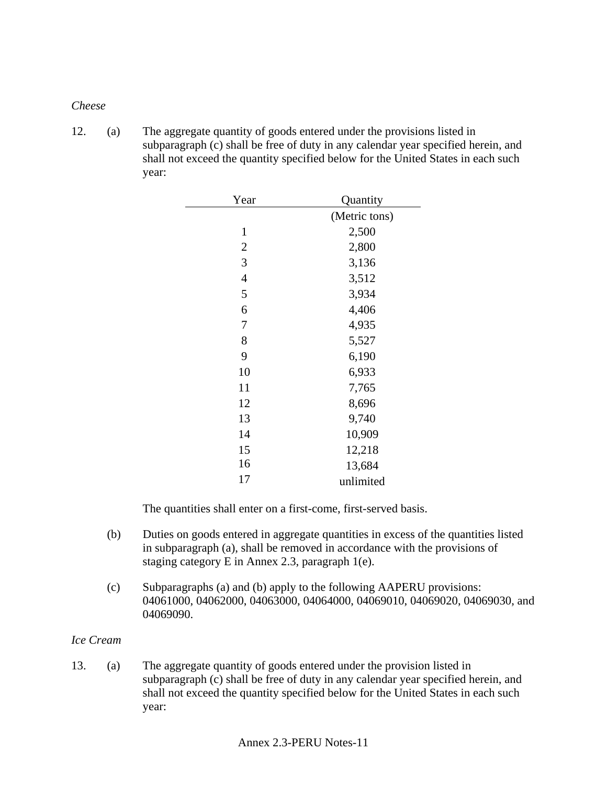#### *Cheese*

12. (a) The aggregate quantity of goods entered under the provisions listed in subparagraph (c) shall be free of duty in any calendar year specified herein, and shall not exceed the quantity specified below for the United States in each such year:

| Year           | Quantity      |
|----------------|---------------|
|                | (Metric tons) |
| $\mathbf{1}$   | 2,500         |
| $\overline{2}$ | 2,800         |
| 3              | 3,136         |
| $\overline{4}$ | 3,512         |
| 5              | 3,934         |
| 6              | 4,406         |
| 7              | 4,935         |
| 8              | 5,527         |
| 9              | 6,190         |
| 10             | 6,933         |
| 11             | 7,765         |
| 12             | 8,696         |
| 13             | 9,740         |
| 14             | 10,909        |
| 15             | 12,218        |
| 16             | 13,684        |
| 17             | unlimited     |
|                |               |

The quantities shall enter on a first-come, first-served basis.

- (b) Duties on goods entered in aggregate quantities in excess of the quantities listed in subparagraph (a), shall be removed in accordance with the provisions of staging category E in Annex 2.3, paragraph 1(e).
- (c) Subparagraphs (a) and (b) apply to the following AAPERU provisions: 04061000, 04062000, 04063000, 04064000, 04069010, 04069020, 04069030, and 04069090.

### *Ice Cream*

13. (a) The aggregate quantity of goods entered under the provision listed in subparagraph (c) shall be free of duty in any calendar year specified herein, and shall not exceed the quantity specified below for the United States in each such year: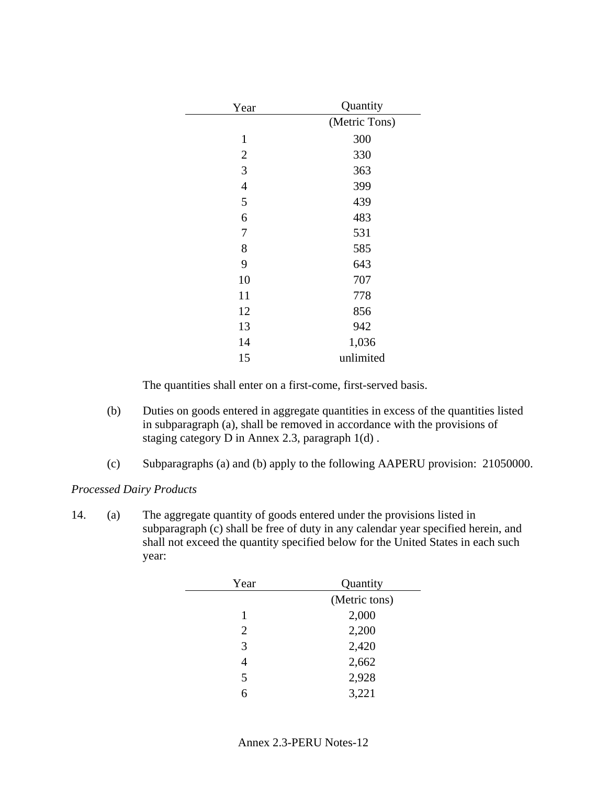| Year           | Quantity      |  |
|----------------|---------------|--|
|                | (Metric Tons) |  |
| $\mathbf{1}$   | 300           |  |
| $\mathbf{2}$   | 330           |  |
| 3              | 363           |  |
| $\overline{4}$ | 399           |  |
| 5              | 439           |  |
| 6              | 483           |  |
| 7              | 531           |  |
| 8              | 585           |  |
| 9              | 643           |  |
| 10             | 707           |  |
| 11             | 778           |  |
| 12             | 856           |  |
| 13             | 942           |  |
| 14             | 1,036         |  |
| 15             | unlimited     |  |

- (b) Duties on goods entered in aggregate quantities in excess of the quantities listed in subparagraph (a), shall be removed in accordance with the provisions of staging category D in Annex 2.3, paragraph 1(d) .
- (c) Subparagraphs (a) and (b) apply to the following AAPERU provision: 21050000.

## *Processed Dairy Products*

14. (a) The aggregate quantity of goods entered under the provisions listed in subparagraph (c) shall be free of duty in any calendar year specified herein, and shall not exceed the quantity specified below for the United States in each such year:

| Year           | Quantity      |  |
|----------------|---------------|--|
|                | (Metric tons) |  |
| 1              | 2,000         |  |
| $\overline{2}$ | 2,200         |  |
| 3              | 2,420         |  |
| 4              | 2,662         |  |
| 5              | 2,928         |  |
| 6              | 3,221         |  |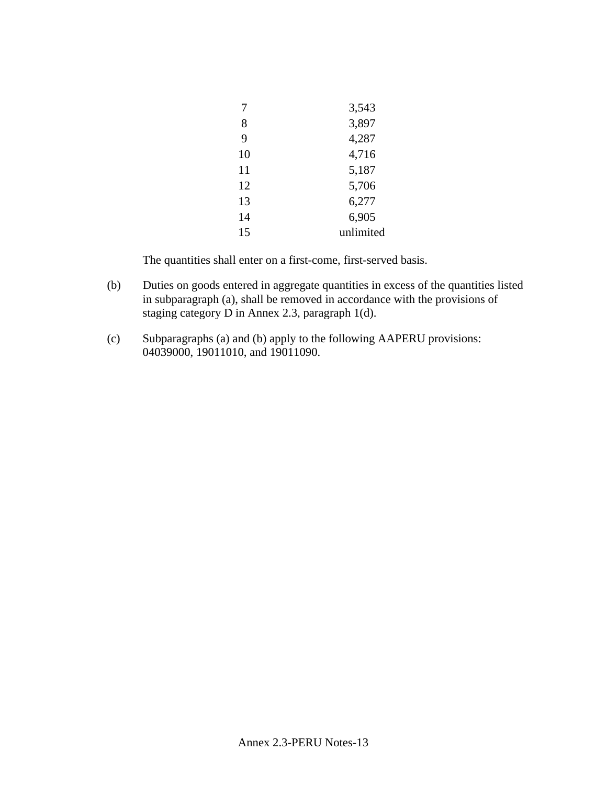|    | 3,543     |
|----|-----------|
| 8  | 3,897     |
| 9  | 4,287     |
| 10 | 4,716     |
| 11 | 5,187     |
| 12 | 5,706     |
| 13 | 6,277     |
| 14 | 6,905     |
| 15 | unlimited |
|    |           |

- (b) Duties on goods entered in aggregate quantities in excess of the quantities listed in subparagraph (a), shall be removed in accordance with the provisions of staging category D in Annex 2.3, paragraph 1(d).
- (c) Subparagraphs (a) and (b) apply to the following AAPERU provisions: 04039000, 19011010, and 19011090.